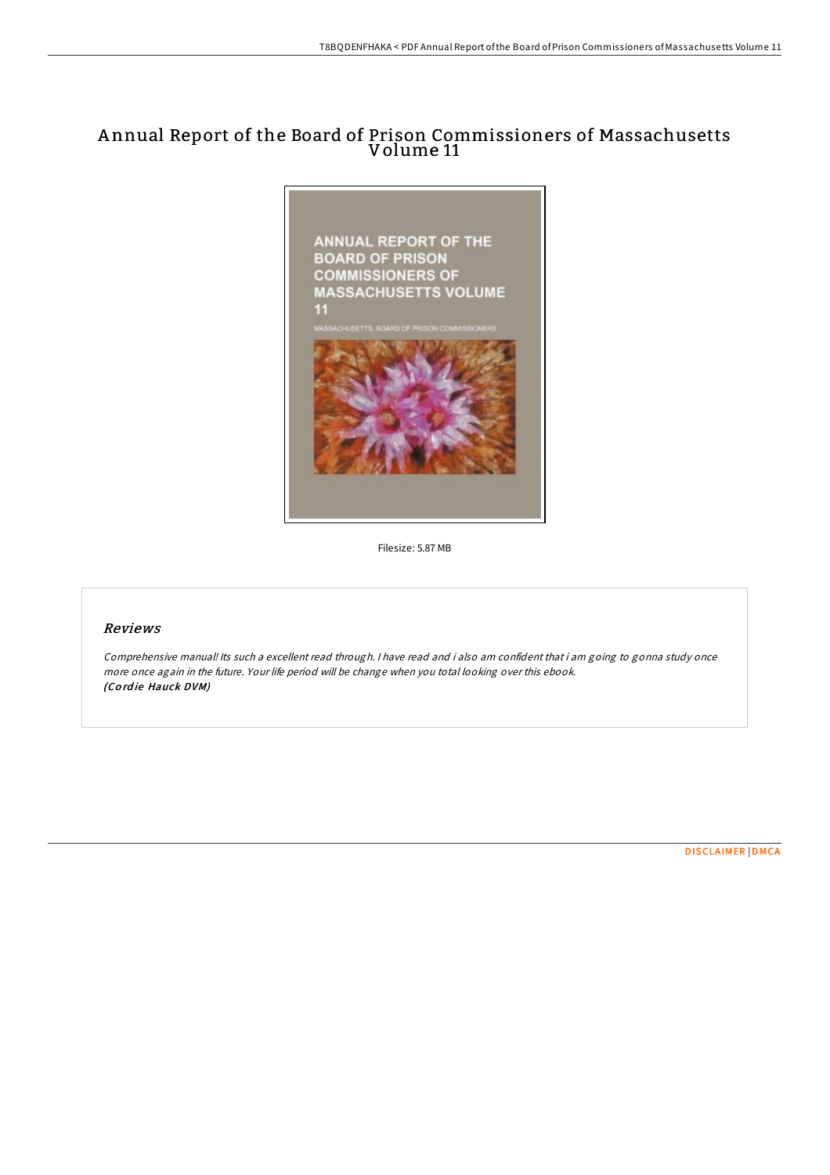## A nnual Report of the Board of Prison Commissioners of Massachusetts Volume 11



Filesize: 5.87 MB

## Reviews

Comprehensive manual! Its such <sup>a</sup> excellent read through. <sup>I</sup> have read and i also am confident that i am going to gonna study once more once again in the future. Your life period will be change when you total looking over this ebook. (Co rd ie Hauck DVM)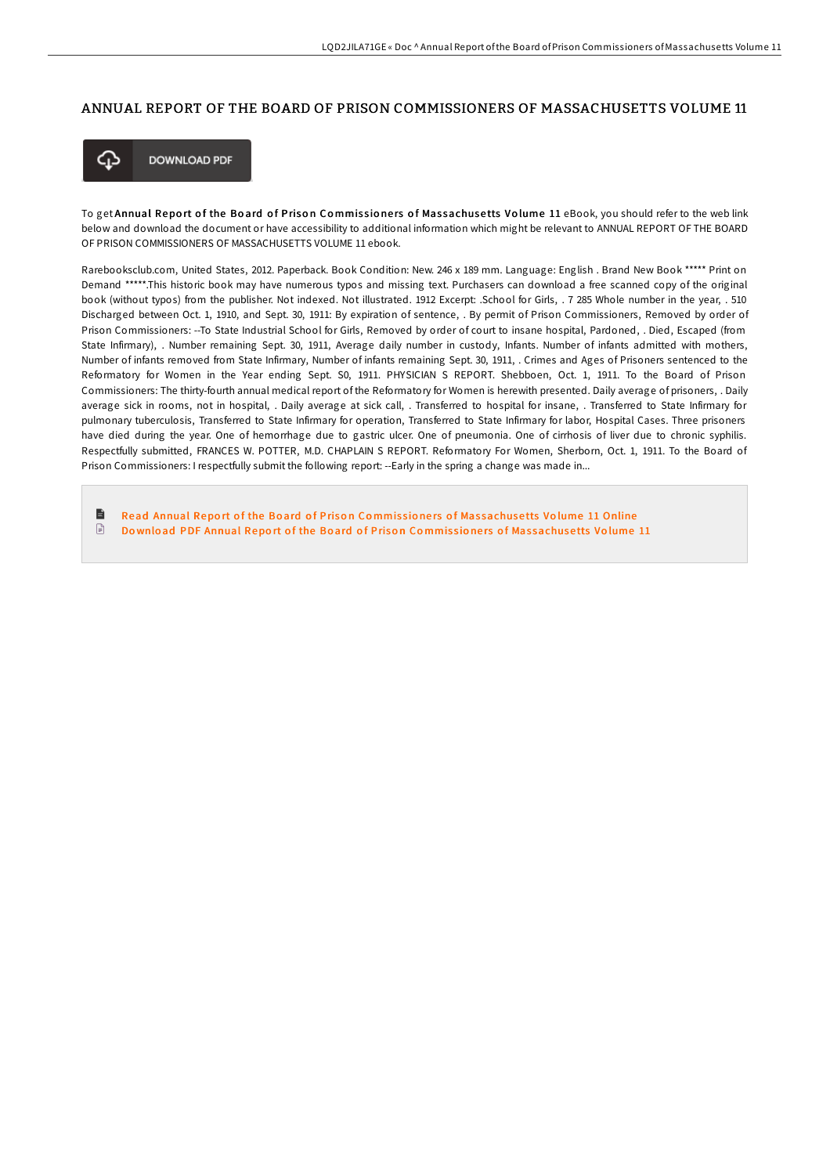## ANNUAL REPORT OF THE BOARD OF PRISON COMMISSIONERS OF MASSACHUSETTS VOLUME 11



**DOWNLOAD PDF** 

To get Annual Report of the Board of Prison Commissioners of Massachusetts Volume 11 eBook, you should refer to the web link below and download the document or have accessibility to additional information which might be relevant to ANNUAL REPORT OF THE BOARD OF PRISON COMMISSIONERS OF MASSACHUSETTS VOLUME 11 ebook.

Rarebooksclub.com, United States, 2012. Paperback. Book Condition: New. 246 x 189 mm. Language: English . Brand New Book \*\*\*\*\* Print on Demand \*\*\*\*\*.This historic book may have numerous typos and missing text. Purchasers can download a free scanned copy of the original book (without typos) from the publisher. Not indexed. Not illustrated. 1912 Excerpt: .School for Girls, . 7 285 Whole number in the year, . 510 Discharged between Oct. 1, 1910, and Sept. 30, 1911: By expiration of sentence, . By permit of Prison Commissioners, Removed by order of Prison Commissioners: --To State Industrial School for Girls, Removed by order of court to insane hospital, Pardoned, . Died, Escaped (from State Infirmary), . Number remaining Sept. 30, 1911, Average daily number in custody, Infants. Number of infants admitted with mothers, Number of infants removed from State Infirmary, Number of infants remaining Sept. 30, 1911, . Crimes and Ages of Prisoners sentenced to the Reformatory for Women in the Year ending Sept. S0, 1911. PHYSICIAN S REPORT. Shebboen, Oct. 1, 1911. To the Board of Prison Commissioners: The thirty-fourth annual medical report of the Reformatory for Women is herewith presented. Daily average of prisoners, . Daily average sick in rooms, not in hospital, . Daily average at sick call, . Transferred to hospital for insane, . Transferred to State Infirmary for pulmonary tuberculosis, Transferred to State Infirmary for operation, Transferred to State Infirmary for labor, Hospital Cases. Three prisoners have died during the year. One of hemorrhage due to gastric ulcer. One of pneumonia. One of cirrhosis of liver due to chronic syphilis. Respectfully submitted, FRANCES W. POTTER, M.D. CHAPLAIN S REPORT. Reformatory For Women, Sherborn, Oct. 1, 1911. To the Board of Prison Commissioners: I respectfully submit the following report: --Early in the spring a change was made in...

B Read Annual Report of the Board of Prison Commissioners of Mas[sachuse](http://almighty24.tech/annual-report-of-the-board-of-prison-commissione.html)tts Volume 11 Online  $\boxed{=}$ Download PDF Annual Report of the Board of Prison Commissioners of Mas[sachuse](http://almighty24.tech/annual-report-of-the-board-of-prison-commissione.html)tts Volume 11